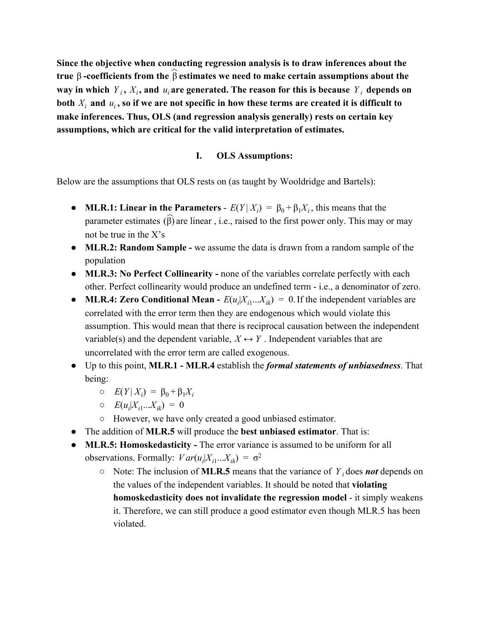**Since the objective when conducting regression analysis is to draw inferences about the true** β **coefficients from the** β **estimates we need to make certain assumptions about the** ︿ way in which  $Y_i$ ,  $X_i$ , and  $u_i$  are generated. The reason for this is because  $Y_i$  depends on both  $X_i$  and  $u_i$ , so if we are not specific in how these terms are created it is difficult to **make inferences. Thus, OLS (and regression analysis generally) rests on certain key assumptions, which are critical for the valid interpretation of estimates.**

### **I. OLS Assumptions:**

Below are the assumptions that OLS rests on (as taught by Wooldridge and Bartels):

- **MLR.1: Linear in the Parameters**  $E(Y|X_i) = \beta_0 + \beta_1 X_i$ , this means that the parameter estimates  $(\widehat{\beta})$  are linear, i.e., raised to the first power only. This may or may not be true in the X's
- **MLR.2: Random Sample** we assume the data is drawn from a random sample of the population
- **MLR.3:** No Perfect Collinearity none of the variables correlate perfectly with each other. Perfect collinearity would produce an undefined term i.e., a denominator of zero.
- **MLR.4: Zero Conditional Mean**  $E(u_i|X_i...X_i) = 0$ . If the independent variables are correlated with the error term then they are endogenous which would violate this assumption. This would mean that there is reciprocal causation between the independent variable(s) and the dependent variable,  $X \leftrightarrow Y$ . Independent variables that are uncorrelated with the error term are called exogenous.
- Up to this point, **MLR.1 MLR.4**establish the *formal statements of unbiasedness*. That being:
	- $O$   $E(Y|X_i) = \beta_0 + \beta_1 X_i$
	- $E(u_i|X_{i1}...X_{ik}) = 0$
	- However, we have only created a good unbiased estimator.
- The addition of **MLR.5**will produce the **best unbiased estimator**. That is:
- **MLR.5: Homoskedasticity** The error variance is assumed to be uniform for all observations. Formally:  $Var(u_i|X_{i1}...X_{ik}) = σ^2$ 
	- $\circ$  Note: The inclusion of **MLR.5** means that the variance of  $Y_i$  does **not** depends on the values of the independent variables. It should be noted that **violating homoskedasticity does not invalidate the regression model** it simply weakens it. Therefore, we can still produce a good estimator even though MLR.5 has been violated.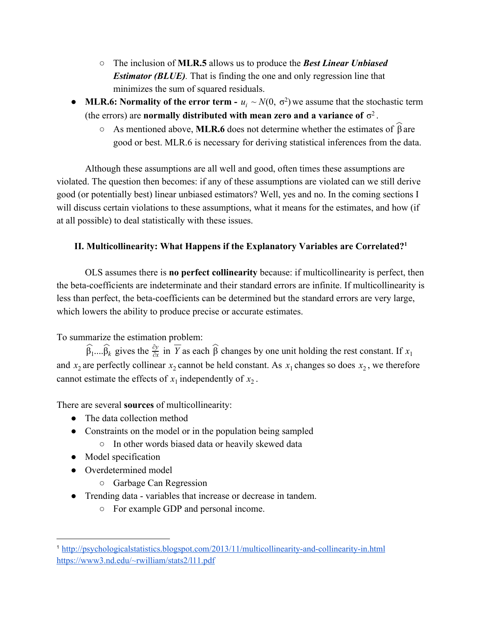- The inclusion of **MLR.5**allows us to produce the *Best Linear Unbiased Estimator (BLUE).* That is finding the one and only regression line that minimizes the sum of squared residuals.
- **MLR.6: Normality of the error term**  $u_i \sim N(0, \sigma^2)$  we assume that the stochastic term (the errors) are **normally distributed with mean zero and a variance of**  $\sigma^2$ .
	- $\circ$  As mentioned above, **MLR.6** does not determine whether the estimates of  $\hat{\beta}$  are good or best. MLR.6 is necessary for deriving statistical inferences from the data.

Although these assumptions are all well and good, often times these assumptions are violated. The question then becomes: if any of these assumptions are violated can we still derive good (or potentially best) linear unbiased estimators? Well, yes and no. In the coming sections I will discuss certain violations to these assumptions, what it means for the estimates, and how (if at all possible) to deal statistically with these issues.

# **II. Multicollinearity: What Happens if the Explanatory Variables are Correlated? 1**

OLS assumes there is **no perfect collinearity**because: if multicollinearity is perfect, then the beta-coefficients are indeterminate and their standard errors are infinite. If multicollinearity is less than perfect, the beta-coefficients can be determined but the standard errors are very large, which lowers the ability to produce precise or accurate estimates.

To summarize the estimation problem:

 $\widehat{\beta}_1...\widehat{\beta}_k$  gives the  $\frac{\partial y}{\partial x}$  in  $\overline{Y}$  as each  $\widehat{\beta}$  changes by one unit holding the rest constant. If *k*  $\hat{\mathbf{C}}$  $\frac{\partial y}{\partial x}$  *in*  $\overline{Y}$  as each  $\widehat{\beta}$  changes by one unit holding the rest constant. If  $x_1$ and  $x_2$  are perfectly collinear  $x_2$  cannot be held constant. As  $x_1$  changes so does  $x_2$ , we therefore cannot estimate the effects of  $x_1$  independently of  $x_2$ .

There are several **sources** of multicollinearity:

- The data collection method
- Constraints on the model or in the population being sampled
	- In other words biased data or heavily skewed data
- Model specification
- Overdetermined model
	- Garbage Can Regression
- Trending data variables that increase or decrease in tandem.
	- For example GDP and personal income.

<sup>&</sup>lt;sup>1</sup> http://psychologicalstatistics.blogspot.com/2013/11/multicollinearity-and-collinearity-in.html <https://www3.nd.edu/~rwilliam/stats2/l11.pdf>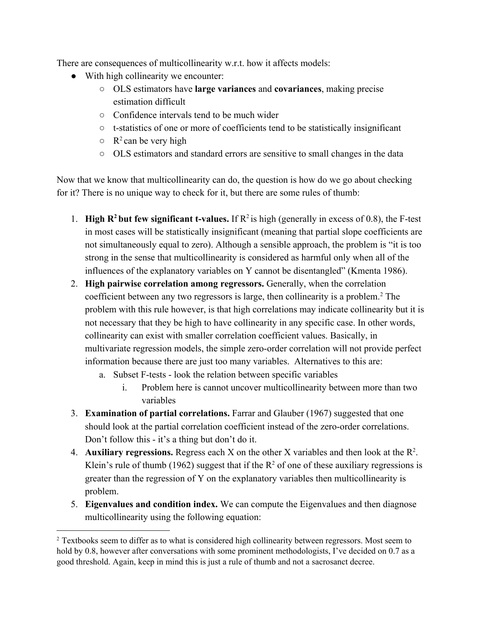There are consequences of multicollinearity w.r.t. how it affects models:

- With high collinearity we encounter:
	- OLS estimators have **large variances**and **covariances**, making precise estimation difficult
	- Confidence intervals tend to be much wider
	- $\circ$  t-statistics of one or more of coefficients tend to be statistically insignificant
	- $\circ$  R<sup>2</sup> can be very high
	- OLS estimators and standard errors are sensitive to small changes in the data

Now that we know that multicollinearity can do, the question is how do we go about checking for it? There is no unique way to check for it, but there are some rules of thumb:

- 1. **High R<sup>2</sup> but few significant t-values.** If  $R^2$  is high (generally in excess of 0.8), the F-test in most cases will be statistically insignificant (meaning that partial slope coefficients are not simultaneously equal to zero). Although a sensible approach, the problem is "it is too strong in the sense that multicollinearity is considered as harmful only when all of the influences of the explanatory variables on Y cannot be disentangled" (Kmenta 1986).
- 2. **High pairwise correlation among regressors.**Generally, when the correlation coefficient between any two regressors is large, then collinearity is a problem.<sup>2</sup> The problem with this rule however, is that high correlations may indicate collinearity but it is not necessary that they be high to have collinearity in any specific case. In other words, collinearity can exist with smaller correlation coefficient values. Basically, in multivariate regression models, the simple zero-order correlation will not provide perfect information because there are just too many variables. Alternatives to this are:
	- a. Subset F-tests look the relation between specific variables
		- i. Problem here is cannot uncover multicollinearity between more than two variables
- 3. **Examination of partial correlations.**Farrar and Glauber (1967) suggested that one should look at the partial correlation coefficient instead of the zero-order correlations. Don't follow this - it's a thing but don't do it.
- 4. **Auxiliary regressions.** Regress each  $X$  on the other  $X$  variables and then look at the  $R^2$ . Klein's rule of thumb (1962) suggest that if the  $R^2$  of one of these auxiliary regressions is greater than the regression of Y on the explanatory variables then multicollinearity is problem.
- 5. **Eigenvalues and condition index.**We can compute the Eigenvalues and then diagnose multicollinearity using the following equation:

<sup>2</sup> Textbooks seem to differ as to what is considered high collinearity between regressors. Most seem to hold by 0.8, however after conversations with some prominent methodologists, I've decided on 0.7 as a good threshold. Again, keep in mind this is just a rule of thumb and not a sacrosanct decree.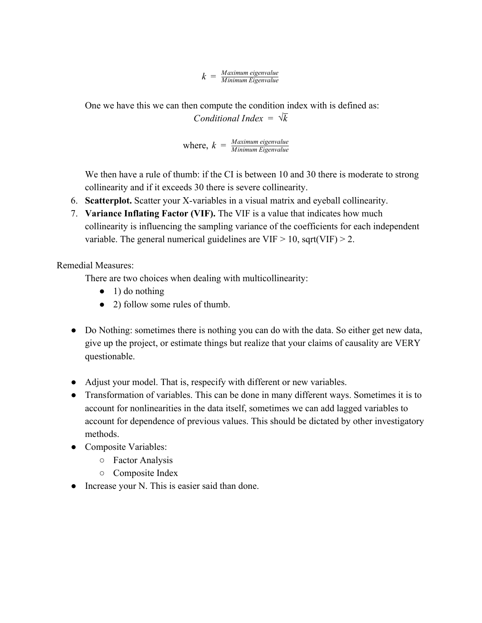*k* = *Minimum Eigenvalue Maximum eigenvalue*

One we have this we can then compute the condition index with is defined as: *Conditional Index* =  $\sqrt{k}$ 

where,  $k = \frac{Maximum \text{ eigenvalue}}{Minimum \text{ Eigenvalue}}$ 

We then have a rule of thumb: if the CI is between 10 and 30 there is moderate to strong collinearity and if it exceeds 30 there is severe collinearity.

- 6. **Scatterplot.** Scatter your X-variables in a visual matrix and eyeball collinearity.
- 7. **Variance Inflating Factor (VIF).**The VIF is a value that indicates how much collinearity is influencing the sampling variance of the coefficients for each independent variable. The general numerical guidelines are  $VIF > 10$ , sqrt(VIF) > 2.

Remedial Measures:

There are two choices when dealing with multicollinearity:

- $\bullet$  1) do nothing
- 2) follow some rules of thumb.
- Do Nothing: sometimes there is nothing you can do with the data. So either get new data, give up the project, or estimate things but realize that your claims of causality are VERY questionable.
- Adjust your model. That is, respecify with different or new variables.
- Transformation of variables. This can be done in many different ways. Sometimes it is to account for nonlinearities in the data itself, sometimes we can add lagged variables to account for dependence of previous values. This should be dictated by other investigatory methods.
- Composite Variables:
	- Factor Analysis
	- Composite Index
- Increase your N. This is easier said than done.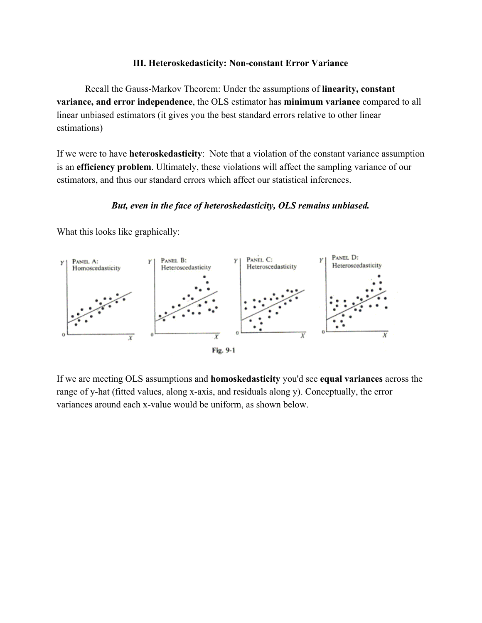#### **III.** Heteroskedasticity: Non-constant Error Variance

Recall the Gauss-Markov Theorem: Under the assumptions of **linearity**, constant **variance, and error independence**, the OLS estimator has **minimum variance**compared to all linear unbiased estimators (it gives you the best standard errors relative to other linear estimations)

If we were to have **heteroskedasticity**: Note that a violation of the constant variance assumption is an **efficiency problem**. Ultimately, these violations will affect the sampling variance of our estimators, and thus our standard errors which affect our statistical inferences.

# *But, even in the face of heteroskedasticity, OLS remains unbiased.*

What this looks like graphically:



If we are meeting OLS assumptions and **homoskedasticity**you'd see **equal variances**across the range of y-hat (fitted values, along x-axis, and residuals along y). Conceptually, the error variances around each x-value would be uniform, as shown below.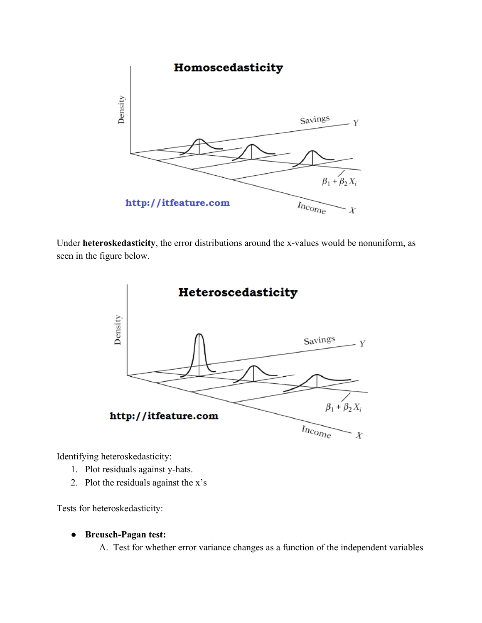

Under **heteroskedasticity**, the error distributions around the x-values would be nonuniform, as seen in the figure below.



Identifying heteroskedasticity:

- 1. Plot residuals against y-hats.
- 2. Plot the residuals against the x's

Tests for heteroskedasticity:

**•** Breusch-Pagan test:

A. Test for whether error variance changes as a function of the independent variables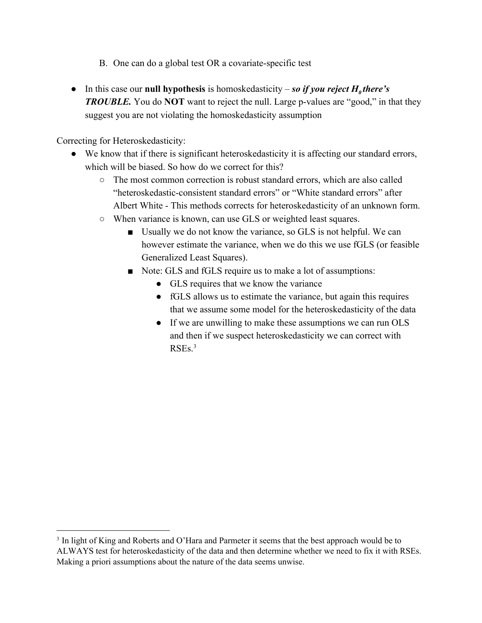- B. One can do a global test OR a covariate-specific test
- In this case our **null hypothesis** is homoskedasticity so if you reject  $H_0$  there's *TROUBLE*. You do **NOT** want to reject the null. Large p-values are "good," in that they suggest you are not violating the homoskedasticity assumption

Correcting for Heteroskedasticity:

- We know that if there is significant heteroskedasticity it is affecting our standard errors, which will be biased. So how do we correct for this?
	- The most common correction is robust standard errors, which are also called "heteroskedastic-consistent standard errors" or "White standard errors" after Albert White - This methods corrects for heteroskedasticity of an unknown form.
	- When variance is known, can use GLS or weighted least squares.
		- Usually we do not know the variance, so GLS is not helpful. We can however estimate the variance, when we do this we use fGLS (or feasible Generalized Least Squares).
		- Note: GLS and fGLS require us to make a lot of assumptions:
			- GLS requires that we know the variance
			- fGLS allows us to estimate the variance, but again this requires that we assume some model for the heteroskedasticity of the data
			- If we are unwilling to make these assumptions we can run OLS and then if we suspect heteroskedasticity we can correct with RSEs. 3

<sup>&</sup>lt;sup>3</sup> In light of King and Roberts and O'Hara and Parmeter it seems that the best approach would be to ALWAYS test for heteroskedasticity of the data and then determine whether we need to fix it with RSEs. Making a priori assumptions about the nature of the data seems unwise.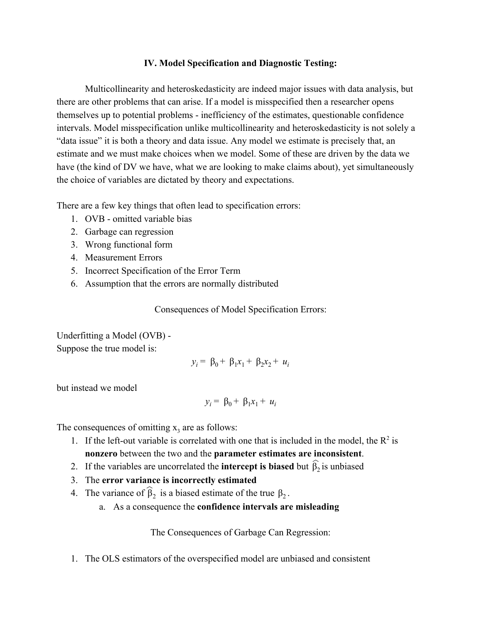#### **IV. Model Specification and Diagnostic Testing:**

Multicollinearity and heteroskedasticity are indeed major issues with data analysis, but there are other problems that can arise. If a model is misspecified then a researcher opens themselves up to potential problems - inefficiency of the estimates, questionable confidence intervals. Model misspecification unlike multicollinearity and heteroskedasticity is not solely a "data issue" it is both a theory and data issue. Any model we estimate is precisely that, an estimate and we must make choices when we model. Some of these are driven by the data we have (the kind of DV we have, what we are looking to make claims about), yet simultaneously the choice of variables are dictated by theory and expectations.

There are a few key things that often lead to specification errors:

- 1. OVB omitted variable bias
- 2. Garbage can regression
- 3. Wrong functional form
- 4. Measurement Errors
- 5. Incorrect Specification of the Error Term
- 6. Assumption that the errors are normally distributed

Consequences of Model Specification Errors:

Underfitting a Model (OVB) Suppose the true model is:

$$
y_i = \beta_0 + \beta_1 x_1 + \beta_2 x_2 + u_i
$$

but instead we model

$$
y_i = \beta_0 + \beta_1 x_1 + u_i
$$

The consequences of omitting  $x_3$  are as follows:

- 1. If the left-out variable is correlated with one that is included in the model, the  $\mathbb{R}^2$  is **nonzero**between the two and the **parameter estimates are inconsistent**.
- 2. If the variables are uncorrelated the **intercept is biased** but  $\hat{\beta}_2$  is unbiased
- 3. The **error variance is incorrectly estimated**
- 4. The variance of  $\hat{\beta}_2$  is a biased estimate of the true  $\beta_2$ .
	- a. As a consequence the **confidence intervals are misleading**

The Consequences of Garbage Can Regression:

1. The OLS estimators of the overspecified model are unbiased and consistent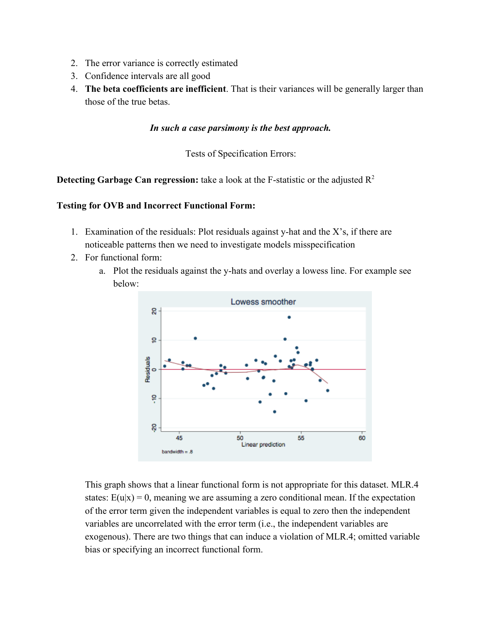- 2. The error variance is correctly estimated
- 3. Confidence intervals are all good
- 4. **The beta coefficients are inefficient**. That is their variances will be generally larger than those of the true betas.

## *In such a case parsimony is the best approach.*

Tests of Specification Errors:

**Detecting Garbage Can regression:** take a look at the F-statistic or the adjusted R<sup>2</sup>

### **Testing for OVB and Incorrect Functional Form:**

- 1. Examination of the residuals: Plot residuals against yhat and the X's, if there are noticeable patterns then we need to investigate models misspecification
- 2. For functional form:
	- a. Plot the residuals against the y-hats and overlay a lowess line. For example see below:



This graph shows that a linear functional form is not appropriate for this dataset. MLR.4 states:  $E(u|x) = 0$ , meaning we are assuming a zero conditional mean. If the expectation of the error term given the independent variables is equal to zero then the independent variables are uncorrelated with the error term (i.e., the independent variables are exogenous). There are two things that can induce a violation of MLR.4; omitted variable bias or specifying an incorrect functional form.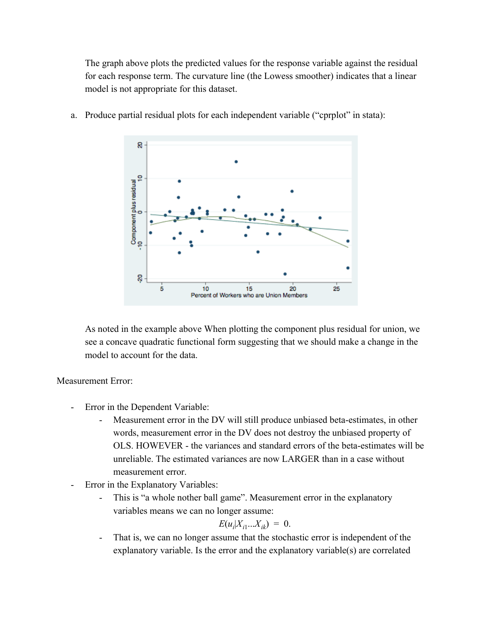The graph above plots the predicted values for the response variable against the residual for each response term. The curvature line (the Lowess smoother) indicates that a linear model is not appropriate for this dataset.



a. Produce partial residual plots for each independent variable ("cprplot" in stata):

As noted in the example above When plotting the component plus residual for union, we see a concave quadratic functional form suggesting that we should make a change in the model to account for the data.

Measurement Error:

- Error in the Dependent Variable:
	- Measurement error in the DV will still produce unbiased beta-estimates, in other words, measurement error in the DV does not destroy the unbiased property of OLS. HOWEVER - the variances and standard errors of the beta-estimates will be unreliable. The estimated variances are now LARGER than in a case without measurement error.
- Error in the Explanatory Variables:
	- This is "a whole nother ball game". Measurement error in the explanatory variables means we can no longer assume:

$$
E(u_i|X_{i1}...X_{ik}) = 0.
$$

 That is, we can no longer assume that the stochastic error is independent of the explanatory variable. Is the error and the explanatory variable(s) are correlated